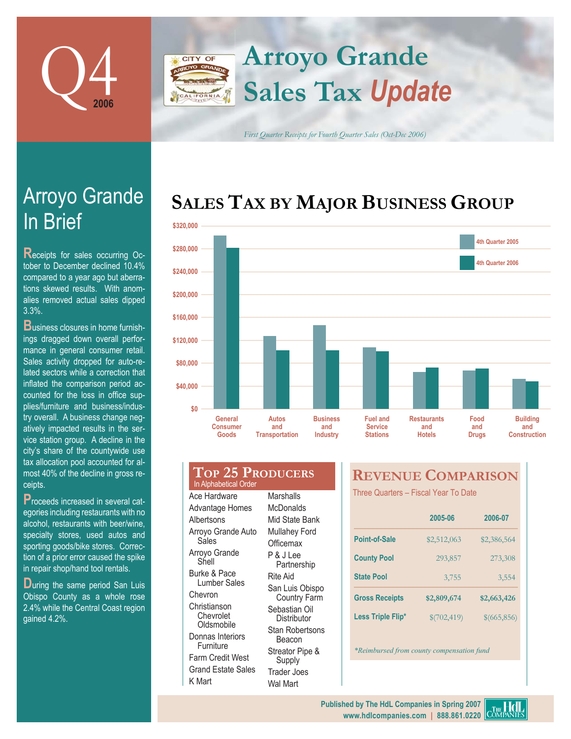

## **Arroyo Grande** CITY OF **Sales Tax** *Update* LIFORNIA

*First Quarter Receipts for Fourth Quarter Sales (Oct-Dec 2006)*

# **SALES TAX BY MAJOR BUSINESS GROUP**



| \$280,000 |                                            |                                              |                                           |                                                      |                                            |                             | 4th Quarter 2006                       |
|-----------|--------------------------------------------|----------------------------------------------|-------------------------------------------|------------------------------------------------------|--------------------------------------------|-----------------------------|----------------------------------------|
| \$240,000 |                                            |                                              |                                           |                                                      |                                            |                             |                                        |
| \$200,000 |                                            |                                              |                                           |                                                      |                                            |                             |                                        |
| \$160,000 |                                            |                                              |                                           |                                                      |                                            |                             |                                        |
| \$120,000 |                                            |                                              |                                           |                                                      |                                            |                             |                                        |
| \$80,000  |                                            |                                              |                                           |                                                      |                                            |                             |                                        |
| \$40,000  |                                            |                                              |                                           |                                                      |                                            |                             |                                        |
| \$0       |                                            |                                              |                                           |                                                      |                                            |                             |                                        |
|           | <b>General</b><br><b>Consumer</b><br>Goods | <b>Autos</b><br>and<br><b>Transportation</b> | <b>Business</b><br>and<br><b>Industry</b> | <b>Fuel and</b><br><b>Service</b><br><b>Stations</b> | <b>Restaurants</b><br>and<br><b>Hotels</b> | Food<br>and<br><b>Drugs</b> | <b>Buildi</b><br>and<br><b>Constru</b> |
|           |                                            |                                              |                                           |                                                      |                                            |                             |                                        |

| General<br>Consumer<br><b>Goods</b>              | Autos<br>and<br><b>Transportation</b> | <b>Business</b><br>and<br><b>Industry</b> | Fu<br>S١<br>St |
|--------------------------------------------------|---------------------------------------|-------------------------------------------|----------------|
| <b>TOP 25 PRODUCERS</b><br>In Alphabetical Order |                                       |                                           | <b>RE</b>      |
| Ace Hardware                                     | Marshalls                             |                                           | Three          |
| Advantage Homes                                  | <b>McDonalds</b>                      |                                           |                |
| Albertsons                                       | Mid State Bank                        |                                           |                |
| Arroyo Grande Auto                               | <b>Mullahey Ford</b>                  |                                           |                |

Sales Arroyo Grande Shell Burke & Pace Lumber Sales Chevron Christianson Chevrolet **Oldsmobile** Donnas Interiors Furniture Farm Credit West Grand Estate Sales

K Mart

**Officemax** P & J Lee Partnership Rite Aid San Luis Obispo Country Farm Sebastian Oil **Distributor** Stan Robertsons Beacon Streator Pipe & Supply Trader Joes Wal Mart

## **VENUE COMPARISON**

ree Quarters - Fiscal Year To Date

|                       | 2005-06     | 2006-07     |
|-----------------------|-------------|-------------|
| <b>Point-of-Sale</b>  | \$2,512,063 | \$2,386,564 |
| <b>County Pool</b>    | 293,857     | 273,308     |
| <b>State Pool</b>     | 3,755       | 3,554       |
| <b>Gross Receipts</b> | \$2,809,674 | \$2,663,426 |
| Less Triple Flip*     | \$(702,419) | \$(665,856) |

*\*Reimbursed from county compensation fund* 

# In Brief Arroyo Grande

**Receipts for sales occurring Oc**tober to December declined 10.4% compared to a year ago but aberrations skewed results. With anomalies removed actual sales dipped 3.3%.

**B**usiness closures in home furnishings dragged down overall performance in general consumer retail. Sales activity dropped for auto-related sectors while a correction that inflated the comparison period accounted for the loss in office supplies/furniture and business/industry overall. A business change negatively impacted results in the service station group. A decline in the city's share of the countywide use tax allocation pool accounted for almost 40% of the decline in gross receipts.

**P**roceeds increased in several categories including restaurants with no alcohol, restaurants with beer/wine, specialty stores, used autos and sporting goods/bike stores. Correction of a prior error caused the spike in repair shop/hand tool rentals.

**During the same period San Luis** Obispo County as a whole rose 2.4% while the Central Coast region gained 4.2%.